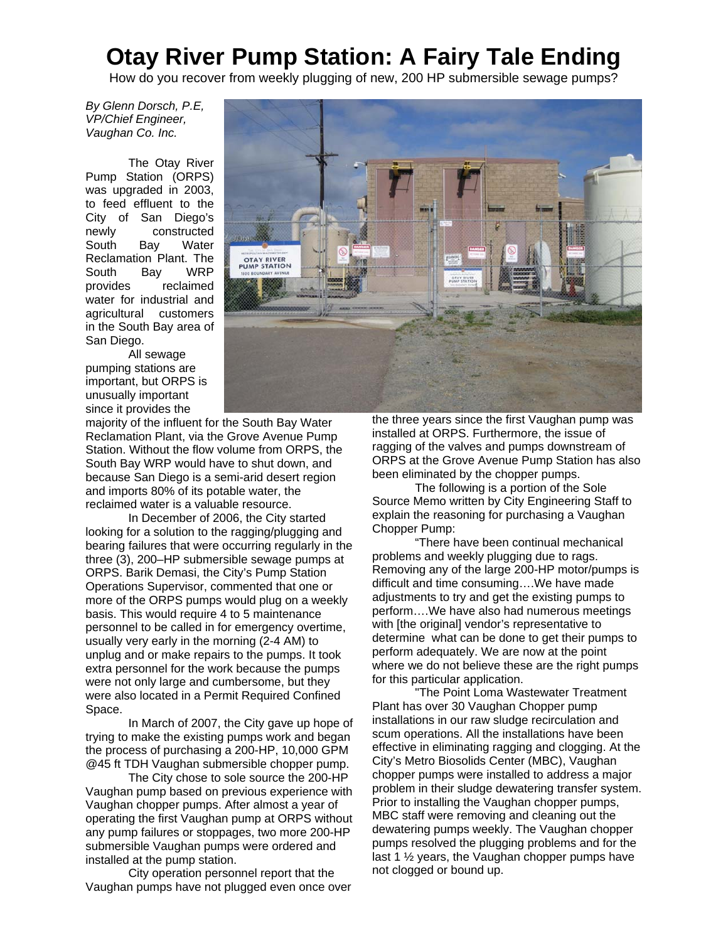## **Otay River Pump Station: A Fairy Tale Ending**

How do you recover from weekly plugging of new, 200 HP submersible sewage pumps?

*By Glenn Dorsch, P.E, VP/Chief Engineer, Vaughan Co. Inc.* 

The Otay River Pump Station (ORPS) was upgraded in 2003, to feed effluent to the City of San Diego's<br>newly constructed constructed South Bay Water Reclamation Plant. The South Bay WRP provides reclaimed water for industrial and agricultural customers in the South Bay area of San Diego.

All sewage pumping stations are important, but ORPS is unusually important since it provides the



majority of the influent for the South Bay Water Reclamation Plant, via the Grove Avenue Pump Station. Without the flow volume from ORPS, the South Bay WRP would have to shut down, and because San Diego is a semi-arid desert region and imports 80% of its potable water, the reclaimed water is a valuable resource.

In December of 2006, the City started looking for a solution to the ragging/plugging and bearing failures that were occurring regularly in the three (3), 200–HP submersible sewage pumps at ORPS. Barik Demasi, the City's Pump Station Operations Supervisor, commented that one or more of the ORPS pumps would plug on a weekly basis. This would require 4 to 5 maintenance personnel to be called in for emergency overtime, usually very early in the morning (2-4 AM) to unplug and or make repairs to the pumps. It took extra personnel for the work because the pumps were not only large and cumbersome, but they were also located in a Permit Required Confined Space.

In March of 2007, the City gave up hope of trying to make the existing pumps work and began the process of purchasing a 200-HP, 10,000 GPM @45 ft TDH Vaughan submersible chopper pump.

The City chose to sole source the 200-HP Vaughan pump based on previous experience with Vaughan chopper pumps. After almost a year of operating the first Vaughan pump at ORPS without any pump failures or stoppages, two more 200-HP submersible Vaughan pumps were ordered and installed at the pump station.

City operation personnel report that the Vaughan pumps have not plugged even once over the three years since the first Vaughan pump was installed at ORPS. Furthermore, the issue of ragging of the valves and pumps downstream of ORPS at the Grove Avenue Pump Station has also been eliminated by the chopper pumps.

The following is a portion of the Sole Source Memo written by City Engineering Staff to explain the reasoning for purchasing a Vaughan Chopper Pump:

"There have been continual mechanical problems and weekly plugging due to rags. Removing any of the large 200-HP motor/pumps is difficult and time consuming….We have made adjustments to try and get the existing pumps to perform….We have also had numerous meetings with [the original] vendor's representative to determine what can be done to get their pumps to perform adequately. We are now at the point where we do not believe these are the right pumps for this particular application.

"The Point Loma Wastewater Treatment Plant has over 30 Vaughan Chopper pump installations in our raw sludge recirculation and scum operations. All the installations have been effective in eliminating ragging and clogging. At the City's Metro Biosolids Center (MBC), Vaughan chopper pumps were installed to address a major problem in their sludge dewatering transfer system. Prior to installing the Vaughan chopper pumps, MBC staff were removing and cleaning out the dewatering pumps weekly. The Vaughan chopper pumps resolved the plugging problems and for the last 1 ½ years, the Vaughan chopper pumps have not clogged or bound up.